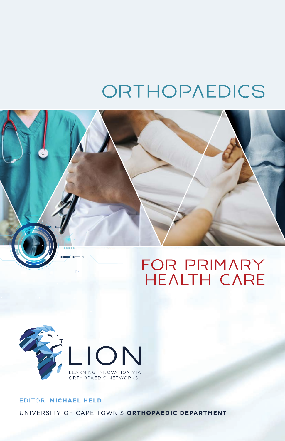# ORTHOPAEDICS





# EDITOR: MICHAEL HELD UNIVERSITY OF CAPE TOWN'S ORTHOPAEDIC DEPARTMENT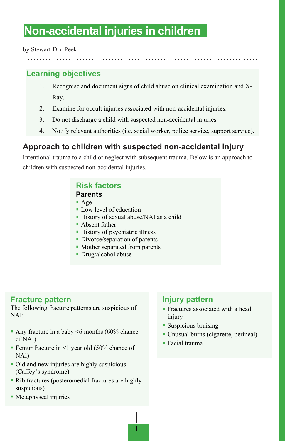# **Non-accidental injuries in children**

by Stewart Dix-Peek

# **Learning objectives**

- 1. Recognise and document signs of child abuse on clinical examination and X-Ray.
- 2. Examine for occult injuries associated with non-accidental injuries.
- 3. Do not discharge a child with suspected non-accidental injuries.
- 4. Notify relevant authorities (i.e. social worker, police service, support service).

# **Approach to children with suspected non-accidental injury**

Intentional trauma to a child or neglect with subsequent trauma. Below is an approach to children with suspected non-accidental injuries.

# **Risk factors**

#### **Parents**

- Age
- Low level of education
- History of sexual abuse/NAI as a child

1

- Absent father
- History of psychiatric illness
- **Divorce/separation of parents**
- **Mother separated from parents**
- Drug/alcohol abuse

### **Fracture pattern**

The following fracture patterns are suspicious of  $NAI'$ 

- Any fracture in a baby  $\leq 6$  months (60% chance of NAI)
- Femur fracture in  $\leq 1$  year old (50% chance of NAI)
- Old and new injuries are highly suspicious (Caffey's syndrome)
- Rib fractures (posteromedial fractures are highly suspicious)
- Metaphyseal injuries

#### **Injury pattern**

- **Fractures associated with a head** injury
- Suspicious bruising
- Unusual burns (cigarette, perineal)
- Facial trauma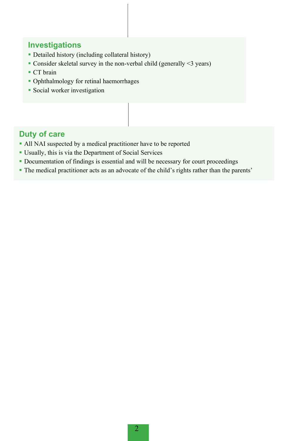## **Investigations**

- Detailed history (including collateral history)
- Consider skeletal survey in the non-verbal child (generally <3 years)
- CT brain
- Ophthalmology for retinal haemorrhages
- **Social worker investigation**

## **Duty of care**

- All NAI suspected by a medical practitioner have to be reported
- Usually, this is via the Department of Social Services
- Documentation of findings is essential and will be necessary for court proceedings
- The medical practitioner acts as an advocate of the child's rights rather than the parents'